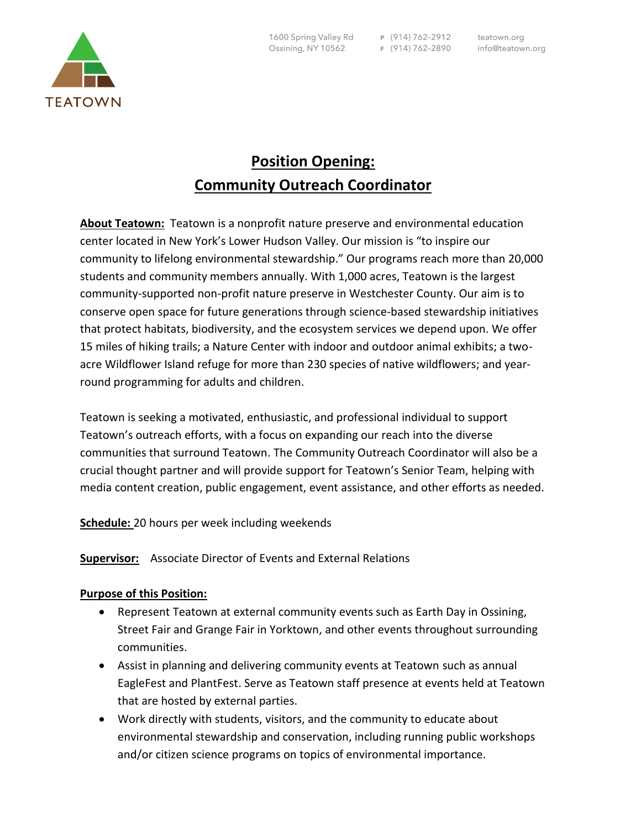

## **Position Opening: Community Outreach Coordinator**

**About Teatown:** Teatown is a nonprofit nature preserve and environmental education center located in New York's Lower Hudson Valley. Our mission is "to inspire our community to lifelong environmental stewardship." Our programs reach more than 20,000 students and community members annually. With 1,000 acres, Teatown is the largest community-supported non-profit nature preserve in Westchester County. Our aim is to conserve open space for future generations through science-based stewardship initiatives that protect habitats, biodiversity, and the ecosystem services we depend upon. We offer 15 miles of hiking trails; a Nature Center with indoor and outdoor animal exhibits; a twoacre Wildflower Island refuge for more than 230 species of native wildflowers; and yearround programming for adults and children.

Teatown is seeking a motivated, enthusiastic, and professional individual to support Teatown's outreach efforts, with a focus on expanding our reach into the diverse communities that surround Teatown. The Community Outreach Coordinator will also be a crucial thought partner and will provide support for Teatown's Senior Team, helping with media content creation, public engagement, event assistance, and other efforts as needed.

**Schedule:** 20 hours per week including weekends

**Supervisor:** Associate Director of Events and External Relations

## **Purpose of this Position:**

- Represent Teatown at external community events such as Earth Day in Ossining, Street Fair and Grange Fair in Yorktown, and other events throughout surrounding communities.
- Assist in planning and delivering community events at Teatown such as annual EagleFest and PlantFest. Serve as Teatown staff presence at events held at Teatown that are hosted by external parties.
- Work directly with students, visitors, and the community to educate about environmental stewardship and conservation, including running public workshops and/or citizen science programs on topics of environmental importance.